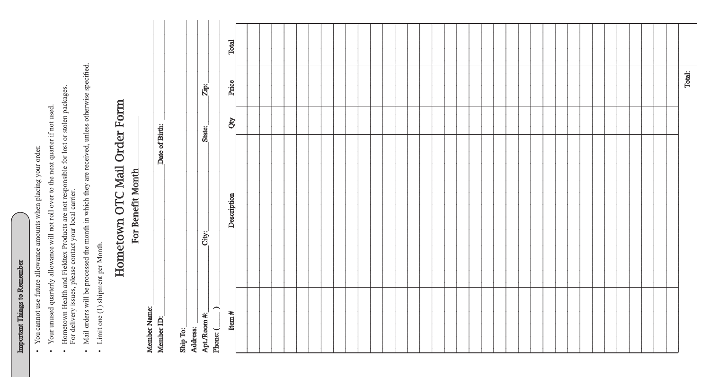| <b>Salar</b><br><b>CONTACT</b> |
|--------------------------------|
| ₹                              |
| nimos fo                       |
| ì<br>j                         |

 $\bullet$ 

- You cannot use future allowance amounts when placing your order.
- Your unused quarterly allowance will not roll over to the next quarter if not used.  $\bullet$
- Hometown Health and Fieldtex Products are not responsible for lost or stolen packages.<br>For delivery issues, please contact your local carrier.  $\bullet$
- Mail orders will be processed the month in which they are received, unless otherwise specified.  $\bullet$ 
	- Limit one (1) shipment per Month.  $\bullet$

## Hometown OTC Mail Order Form For Benefit Month

Date of Birth:

Member Name: Member ID:

| Total: |  |  |  |  |  |
|--------|--|--|--|--|--|
|        |  |  |  |  |  |
|        |  |  |  |  |  |
|        |  |  |  |  |  |
|        |  |  |  |  |  |
|        |  |  |  |  |  |
|        |  |  |  |  |  |
|        |  |  |  |  |  |
|        |  |  |  |  |  |
|        |  |  |  |  |  |
|        |  |  |  |  |  |